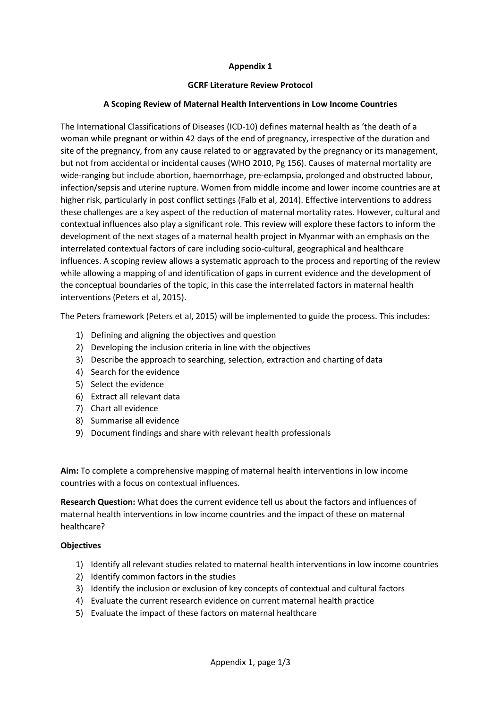# **Appendix 1**

### **GCRF Literature Review Protocol**

## **A Scoping Review of Maternal Health Interventions in Low Income Countries**

The International Classifications of Diseases (ICD-10) defines maternal health as 'the death of a woman while pregnant or within 42 days of the end of pregnancy, irrespective of the duration and site of the pregnancy, from any cause related to or aggravated by the pregnancy or its management, but not from accidental or incidental causes (WHO 2010, Pg 156). Causes of maternal mortality are wide-ranging but include abortion, haemorrhage, pre-eclampsia, prolonged and obstructed labour, infection/sepsis and uterine rupture. Women from middle income and lower income countries are at higher risk, particularly in post conflict settings (Falb et al, 2014). Effective interventions to address these challenges are a key aspect of the reduction of maternal mortality rates. However, cultural and contextual influences also play a significant role. This review will explore these factors to inform the development of the next stages of a maternal health project in Myanmar with an emphasis on the interrelated contextual factors of care including socio-cultural, geographical and healthcare influences. A scoping review allows a systematic approach to the process and reporting of the review while allowing a mapping of and identification of gaps in current evidence and the development of the conceptual boundaries of the topic, in this case the interrelated factors in maternal health interventions (Peters et al, 2015).

The Peters framework (Peters et al, 2015) will be implemented to guide the process. This includes:

- 1) Defining and aligning the objectives and question
- 2) Developing the inclusion criteria in line with the objectives
- 3) Describe the approach to searching, selection, extraction and charting of data
- 4) Search for the evidence
- 5) Select the evidence
- 6) Extract all relevant data
- 7) Chart all evidence
- 8) Summarise all evidence
- 9) Document findings and share with relevant health professionals

**Aim:** To complete a comprehensive mapping of maternal health interventions in low income countries with a focus on contextual influences.

**Research Question:** What does the current evidence tell us about the factors and influences of maternal health interventions in low income countries and the impact of these on maternal healthcare?

### **Objectives**

- 1) Identify all relevant studies related to maternal health interventions in low income countries
- 2) Identify common factors in the studies
- 3) Identify the inclusion or exclusion of key concepts of contextual and cultural factors
- 4) Evaluate the current research evidence on current maternal health practice
- 5) Evaluate the impact of these factors on maternal healthcare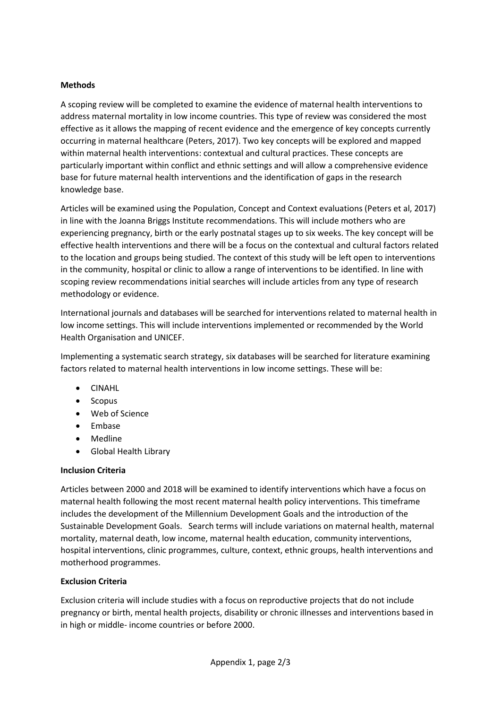## **Methods**

A scoping review will be completed to examine the evidence of maternal health interventions to address maternal mortality in low income countries. This type of review was considered the most effective as it allows the mapping of recent evidence and the emergence of key concepts currently occurring in maternal healthcare (Peters, 2017). Two key concepts will be explored and mapped within maternal health interventions: contextual and cultural practices. These concepts are particularly important within conflict and ethnic settings and will allow a comprehensive evidence base for future maternal health interventions and the identification of gaps in the research knowledge base.

Articles will be examined using the Population, Concept and Context evaluations (Peters et al, 2017) in line with the Joanna Briggs Institute recommendations. This will include mothers who are experiencing pregnancy, birth or the early postnatal stages up to six weeks. The key concept will be effective health interventions and there will be a focus on the contextual and cultural factors related to the location and groups being studied. The context of this study will be left open to interventions in the community, hospital or clinic to allow a range of interventions to be identified. In line with scoping review recommendations initial searches will include articles from any type of research methodology or evidence.

International journals and databases will be searched for interventions related to maternal health in low income settings. This will include interventions implemented or recommended by the World Health Organisation and UNICEF.

Implementing a systematic search strategy, six databases will be searched for literature examining factors related to maternal health interventions in low income settings. These will be:

- CINAHL
- Scopus
- Web of Science
- Embase
- Medline
- Global Health Library

### **Inclusion Criteria**

Articles between 2000 and 2018 will be examined to identify interventions which have a focus on maternal health following the most recent maternal health policy interventions. This timeframe includes the development of the Millennium Development Goals and the introduction of the Sustainable Development Goals. Search terms will include variations on maternal health, maternal mortality, maternal death, low income, maternal health education, community interventions, hospital interventions, clinic programmes, culture, context, ethnic groups, health interventions and motherhood programmes.

### **Exclusion Criteria**

Exclusion criteria will include studies with a focus on reproductive projects that do not include pregnancy or birth, mental health projects, disability or chronic illnesses and interventions based in in high or middle- income countries or before 2000.